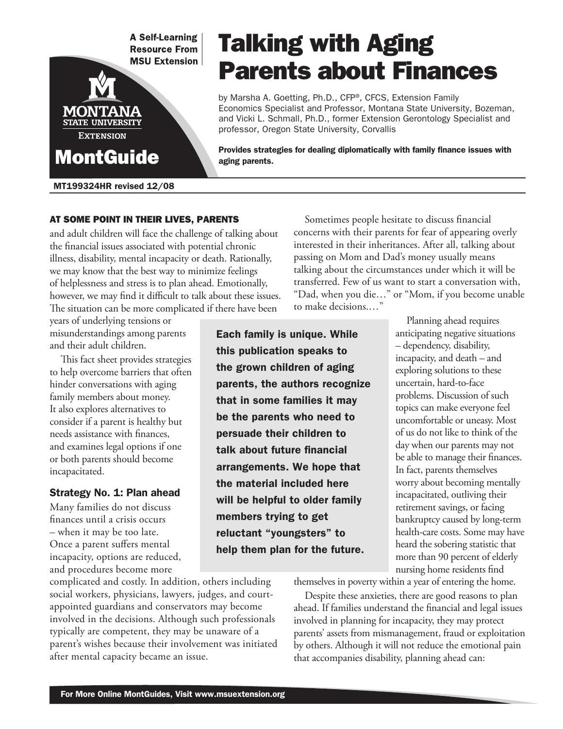**A Self-Learning Resource From MSU Extension** 



MT199324HR revised 12/08

# Talking with Aging Parents about Finances

by Marsha A. Goetting, Ph.D., CFP®, CFCS, Extension Family Economics Specialist and Professor, Montana State University, Bozeman, and Vicki L. Schmall, Ph.D., former Extension Gerontology Specialist and professor, Oregon State University, Corvallis

Provides strategies for dealing diplomatically with family finance issues with aging parents.

At some point in their lives, parents and adult children will face the challenge of talking about the financial issues associated with potential chronic illness, disability, mental incapacity or death. Rationally, we may know that the best way to minimize feelings of helplessness and stress is to plan ahead. Emotionally, however, we may find it difficult to talk about these issues. The situation can be more complicated if there have been

years of underlying tensions or misunderstandings among parents and their adult children.

This fact sheet provides strategies to help overcome barriers that often hinder conversations with aging family members about money. It also explores alternatives to consider if a parent is healthy but needs assistance with finances, and examines legal options if one or both parents should become incapacitated.

#### Strategy No. 1: Plan ahead

Many families do not discuss finances until a crisis occurs – when it may be too late. Once a parent suffers mental incapacity, options are reduced, and procedures become more

complicated and costly. In addition, others including social workers, physicians, lawyers, judges, and courtappointed guardians and conservators may become involved in the decisions. Although such professionals typically are competent, they may be unaware of a parent's wishes because their involvement was initiated after mental capacity became an issue.

Sometimes people hesitate to discuss financial concerns with their parents for fear of appearing overly interested in their inheritances. After all, talking about passing on Mom and Dad's money usually means talking about the circumstances under which it will be transferred. Few of us want to start a conversation with, "Dad, when you die…" or "Mom, if you become unable to make decisions.…"

Each family is unique. While this publication speaks to the grown children of aging parents, the authors recognize that in some families it may be the parents who need to persuade their children to talk about future financial arrangements. We hope that the material included here will be helpful to older family members trying to get reluctant "youngsters" to help them plan for the future.

Planning ahead requires anticipating negative situations – dependency, disability, incapacity, and death – and exploring solutions to these uncertain, hard-to-face problems. Discussion of such topics can make everyone feel uncomfortable or uneasy. Most of us do not like to think of the day when our parents may not be able to manage their finances. In fact, parents themselves worry about becoming mentally incapacitated, outliving their retirement savings, or facing bankruptcy caused by long-term health-care costs. Some may have heard the sobering statistic that more than 90 percent of elderly nursing home residents find

themselves in poverty within a year of entering the home.

Despite these anxieties, there are good reasons to plan ahead. If families understand the financial and legal issues involved in planning for incapacity, they may protect parents' assets from mismanagement, fraud or exploitation by others. Although it will not reduce the emotional pain that accompanies disability, planning ahead can: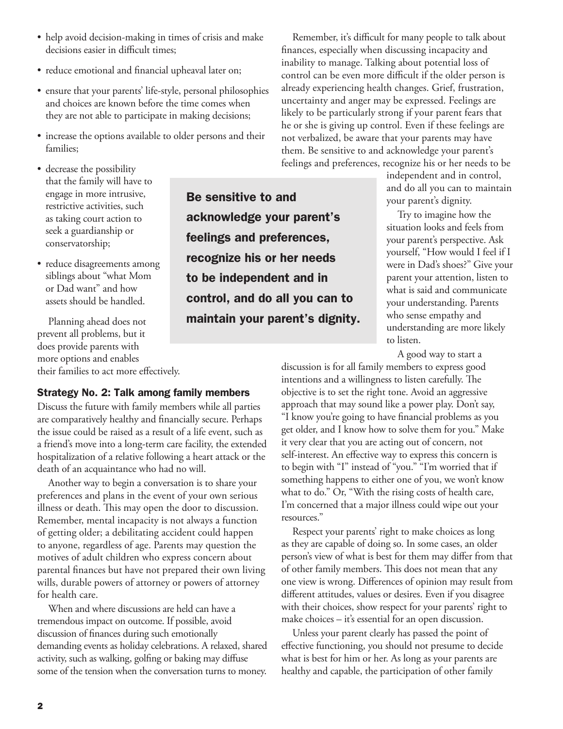- help avoid decision-making in times of crisis and make decisions easier in difficult times;
- reduce emotional and financial upheaval later on;
- ensure that your parents' life-style, personal philosophies and choices are known before the time comes when they are not able to participate in making decisions;
- increase the options available to older persons and their families;
- decrease the possibility that the family will have to engage in more intrusive, restrictive activities, such as taking court action to seek a guardianship or conservatorship;
- reduce disagreements among siblings about "what Mom or Dad want" and how assets should be handled.

Planning ahead does not prevent all problems, but it does provide parents with more options and enables their families to act more effectively.

#### Strategy No. 2: Talk among family members

Discuss the future with family members while all parties are comparatively healthy and financially secure. Perhaps the issue could be raised as a result of a life event, such as a friend's move into a long-term care facility, the extended hospitalization of a relative following a heart attack or the death of an acquaintance who had no will.

Another way to begin a conversation is to share your preferences and plans in the event of your own serious illness or death. This may open the door to discussion. Remember, mental incapacity is not always a function of getting older; a debilitating accident could happen to anyone, regardless of age. Parents may question the motives of adult children who express concern about parental finances but have not prepared their own living wills, durable powers of attorney or powers of attorney for health care.

When and where discussions are held can have a tremendous impact on outcome. If possible, avoid discussion of finances during such emotionally demanding events as holiday celebrations. A relaxed, shared activity, such as walking, golfing or baking may diffuse some of the tension when the conversation turns to money.

Be sensitive to and acknowledge your parent's feelings and preferences, recognize his or her needs to be independent and in control, and do all you can to maintain your parent's dignity.

Remember, it's difficult for many people to talk about finances, especially when discussing incapacity and inability to manage. Talking about potential loss of control can be even more difficult if the older person is already experiencing health changes. Grief, frustration, uncertainty and anger may be expressed. Feelings are likely to be particularly strong if your parent fears that he or she is giving up control. Even if these feelings are not verbalized, be aware that your parents may have them. Be sensitive to and acknowledge your parent's feelings and preferences, recognize his or her needs to be

> independent and in control, and do all you can to maintain your parent's dignity.

> Try to imagine how the situation looks and feels from your parent's perspective. Ask yourself, "How would I feel if I were in Dad's shoes?" Give your parent your attention, listen to what is said and communicate your understanding. Parents who sense empathy and understanding are more likely to listen.

A good way to start a

discussion is for all family members to express good intentions and a willingness to listen carefully. The objective is to set the right tone. Avoid an aggressive approach that may sound like a power play. Don't say, "I know you're going to have financial problems as you get older, and I know how to solve them for you." Make it very clear that you are acting out of concern, not self-interest. An effective way to express this concern is to begin with "I" instead of "you." "I'm worried that if something happens to either one of you, we won't know what to do." Or, "With the rising costs of health care, I'm concerned that a major illness could wipe out your resources."

Respect your parents' right to make choices as long as they are capable of doing so. In some cases, an older person's view of what is best for them may differ from that of other family members. This does not mean that any one view is wrong. Differences of opinion may result from different attitudes, values or desires. Even if you disagree with their choices, show respect for your parents' right to make choices – it's essential for an open discussion.

Unless your parent clearly has passed the point of effective functioning, you should not presume to decide what is best for him or her. As long as your parents are healthy and capable, the participation of other family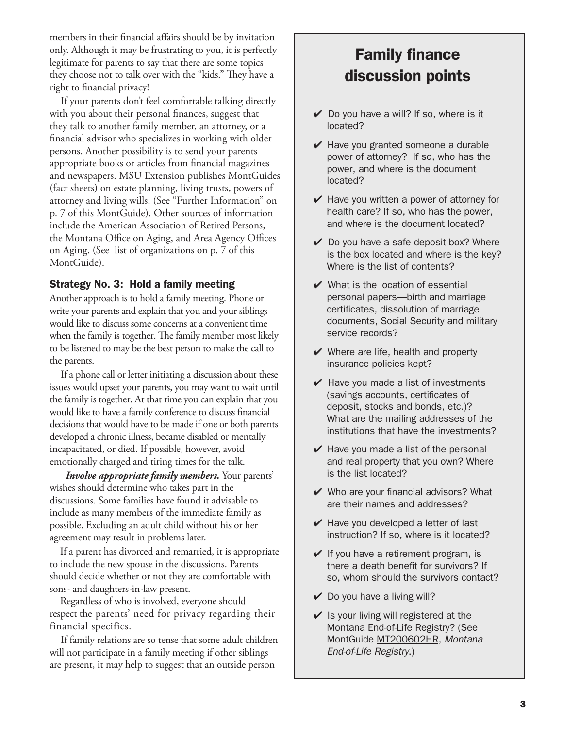members in their financial affairs should be by invitation only. Although it may be frustrating to you, it is perfectly legitimate for parents to say that there are some topics they choose not to talk over with the "kids." They have a right to financial privacy!

If your parents don't feel comfortable talking directly with you about their personal finances, suggest that they talk to another family member, an attorney, or a financial advisor who specializes in working with older persons. Another possibility is to send your parents appropriate books or articles from financial magazines and newspapers. MSU Extension publishes MontGuides (fact sheets) on estate planning, living trusts, powers of attorney and living wills. (See "Further Information" on p. 7 of this MontGuide). Other sources of information include the American Association of Retired Persons, the Montana Office on Aging, and Area Agency Offices on Aging. (See list of organizations on p. 7 of this MontGuide).

#### Strategy No. 3: Hold a family meeting

Another approach is to hold a family meeting. Phone or write your parents and explain that you and your siblings would like to discuss some concerns at a convenient time when the family is together. The family member most likely to be listened to may be the best person to make the call to the parents.

If a phone call or letter initiating a discussion about these issues would upset your parents, you may want to wait until the family is together. At that time you can explain that you would like to have a family conference to discuss financial decisions that would have to be made if one or both parents developed a chronic illness, became disabled or mentally incapacitated, or died. If possible, however, avoid emotionally charged and tiring times for the talk.

 *Involve appropriate family members.* Your parents' wishes should determine who takes part in the discussions. Some families have found it advisable to include as many members of the immediate family as possible. Excluding an adult child without his or her agreement may result in problems later.

If a parent has divorced and remarried, it is appropriate to include the new spouse in the discussions. Parents should decide whether or not they are comfortable with sons- and daughters-in-law present.

Regardless of who is involved, everyone should respect the parents' need for privacy regarding their financial specifics.

If family relations are so tense that some adult children will not participate in a family meeting if other siblings are present, it may help to suggest that an outside person

## Family finance discussion points

- $\vee$  Do you have a will? If so, where is it located?
- $\vee$  Have you granted someone a durable power of attorney? If so, who has the power, and where is the document located?
- $\vee$  Have you written a power of attorney for health care? If so, who has the power, and where is the document located?
- $\vee$  Do you have a safe deposit box? Where is the box located and where is the key? Where is the list of contents?
- $\vee$  What is the location of essential personal papers—birth and marriage certificates, dissolution of marriage documents, Social Security and military service records?
- $\vee$  Where are life, health and property insurance policies kept?
- $\vee$  Have you made a list of investments (savings accounts, certificates of deposit, stocks and bonds, etc.)? What are the mailing addresses of the institutions that have the investments?
- $\vee$  Have you made a list of the personal and real property that you own? Where is the list located?
- $\vee$  Who are your financial advisors? What are their names and addresses?
- $\vee$  Have you developed a letter of last instruction? If so, where is it located?
- $\vee$  If you have a retirement program, is there a death benefit for survivors? If so, whom should the survivors contact?
- $\vee$  Do you have a living will?
- $\vee$  Is your living will registered at the Montana End-of-Life Registry? (See MontGuide [MT200602HR,](http://msuextension.org/publications/FamilyFinancialManagement/MT200602HR.pdf) *Montana End-of-Life Registry*.)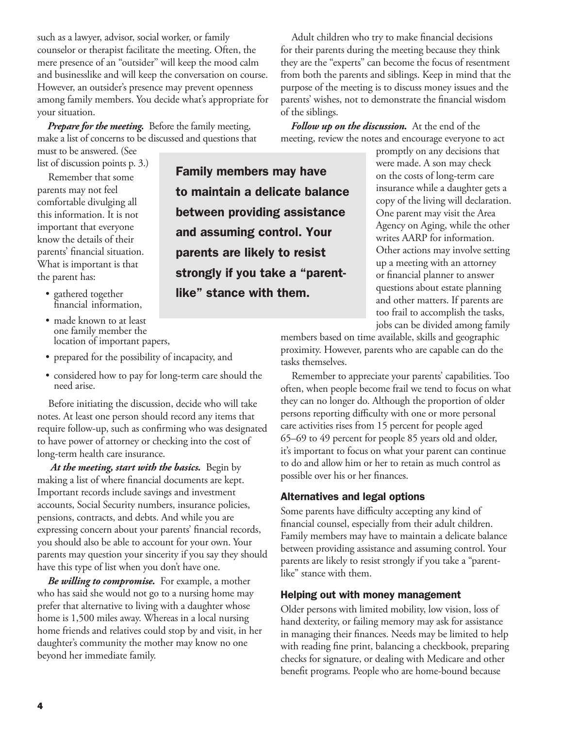such as a lawyer, advisor, social worker, or family counselor or therapist facilitate the meeting. Often, the mere presence of an "outsider'' will keep the mood calm and businesslike and will keep the conversation on course. However, an outsider's presence may prevent openness among family members. You decide what's appropriate for your situation.

*Prepare for the meeting.* Before the family meeting, make a list of concerns to be discussed and questions that must to be answered. (See

list of discussion points p. 3.)

Remember that some parents may not feel comfortable divulging all this information. It is not important that everyone know the details of their parents' financial situation. What is important is that the parent has:

- • gathered together financial information,
- Family members may have to maintain a delicate balance between providing assistance and assuming control. Your parents are likely to resist strongly if you take a "parentlike" stance with them.
- Adult children who try to make financial decisions for their parents during the meeting because they think they are the "experts" can become the focus of resentment from both the parents and siblings. Keep in mind that the purpose of the meeting is to discuss money issues and the parents' wishes, not to demonstrate the financial wisdom of the siblings.

*Follow up on the discussion.* At the end of the meeting, review the notes and encourage everyone to act

> promptly on any decisions that were made. A son may check on the costs of long-term care insurance while a daughter gets a copy of the living will declaration. One parent may visit the Area Agency on Aging, while the other writes AARP for information. Other actions may involve setting up a meeting with an attorney or financial planner to answer questions about estate planning and other matters. If parents are too frail to accomplish the tasks, jobs can be divided among family

- made known to at least one family member the location of important papers,
- • prepared for the possibility of incapacity, and
- considered how to pay for long-term care should the need arise.

Before initiating the discussion, decide who will take notes. At least one person should record any items that require follow-up, such as confirming who was designated to have power of attorney or checking into the cost of long-term health care insurance.

*At the meeting, start with the basics.* Begin by making a list of where financial documents are kept. Important records include savings and investment accounts, Social Security numbers, insurance policies, pensions, contracts, and debts. And while you are expressing concern about your parents' financial records, you should also be able to account for your own. Your parents may question your sincerity if you say they should have this type of list when you don't have one.

*Be willing to compromise.* For example, a mother who has said she would not go to a nursing home may prefer that alternative to living with a daughter whose home is 1,500 miles away. Whereas in a local nursing home friends and relatives could stop by and visit, in her daughter's community the mother may know no one beyond her immediate family.

members based on time available, skills and geographic proximity. However, parents who are capable can do the tasks themselves.

Remember to appreciate your parents' capabilities. Too often, when people become frail we tend to focus on what they can no longer do. Although the proportion of older persons reporting difficulty with one or more personal care activities rises from 15 percent for people aged 65–69 to 49 percent for people 85 years old and older, it's important to focus on what your parent can continue to do and allow him or her to retain as much control as possible over his or her finances.

#### Alternatives and legal options

Some parents have difficulty accepting any kind of financial counsel, especially from their adult children. Family members may have to maintain a delicate balance between providing assistance and assuming control. Your parents are likely to resist strongly if you take a "parentlike" stance with them.

#### Helping out with money management

Older persons with limited mobility, low vision, loss of hand dexterity, or failing memory may ask for assistance in managing their finances. Needs may be limited to help with reading fine print, balancing a checkbook, preparing checks for signature, or dealing with Medicare and other benefit programs. People who are home-bound because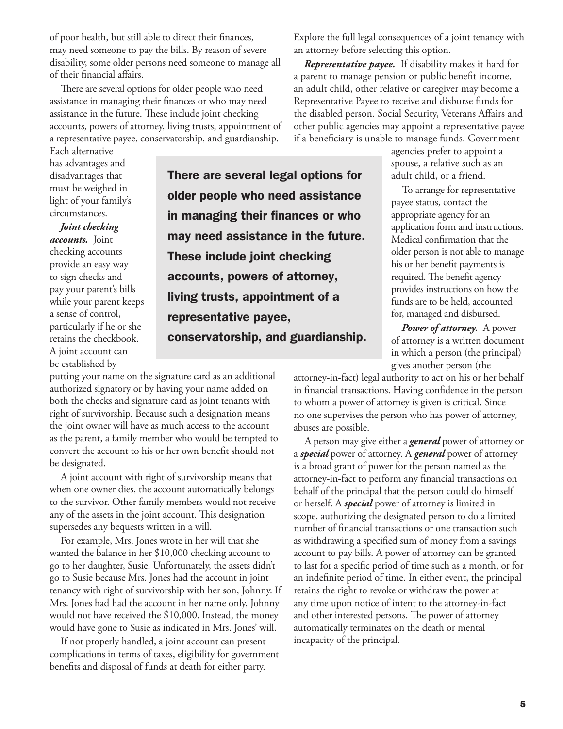of poor health, but still able to direct their finances, may need someone to pay the bills. By reason of severe disability, some older persons need someone to manage all of their financial affairs.

There are several options for older people who need assistance in managing their finances or who may need assistance in the future. These include joint checking accounts, powers of attorney, living trusts, appointment of a representative payee, conservatorship, and guardianship.

Each alternative has advantages and disadvantages that must be weighed in light of your family's circumstances.

*Joint checking accounts.* Joint checking accounts provide an easy way to sign checks and pay your parent's bills while your parent keeps a sense of control, particularly if he or she retains the checkbook. A joint account can be established by

There are several legal options for older people who need assistance in managing their finances or who may need assistance in the future. These include joint checking accounts, powers of attorney, living trusts, appointment of a representative payee, conservatorship, and guardianship.

putting your name on the signature card as an additional authorized signatory or by having your name added on both the checks and signature card as joint tenants with right of survivorship. Because such a designation means the joint owner will have as much access to the account as the parent, a family member who would be tempted to convert the account to his or her own benefit should not be designated.

A joint account with right of survivorship means that when one owner dies, the account automatically belongs to the survivor. Other family members would not receive any of the assets in the joint account. This designation supersedes any bequests written in a will.

For example, Mrs. Jones wrote in her will that she wanted the balance in her \$10,000 checking account to go to her daughter, Susie. Unfortunately, the assets didn't go to Susie because Mrs. Jones had the account in joint tenancy with right of survivorship with her son, Johnny. If Mrs. Jones had had the account in her name only, Johnny would not have received the \$10,000. Instead, the money would have gone to Susie as indicated in Mrs. Jones' will.

If not properly handled, a joint account can present complications in terms of taxes, eligibility for government benefits and disposal of funds at death for either party.

Explore the full legal consequences of a joint tenancy with an attorney before selecting this option.

*Representative payee.* If disability makes it hard for a parent to manage pension or public benefit income, an adult child, other relative or caregiver may become a Representative Payee to receive and disburse funds for the disabled person. Social Security, Veterans Affairs and other public agencies may appoint a representative payee if a beneficiary is unable to manage funds. Government

> agencies prefer to appoint a spouse, a relative such as an adult child, or a friend.

To arrange for representative payee status, contact the appropriate agency for an application form and instructions. Medical confirmation that the older person is not able to manage his or her benefit payments is required. The benefit agency provides instructions on how the funds are to be held, accounted for, managed and disbursed.

*Power of attorney.* A power of attorney is a written document in which a person (the principal) gives another person (the

attorney-in-fact) legal authority to act on his or her behalf in financial transactions. Having confidence in the person to whom a power of attorney is given is critical. Since no one supervises the person who has power of attorney, abuses are possible.

A person may give either a *general* power of attorney or a *special* power of attorney. A *general* power of attorney is a broad grant of power for the person named as the attorney-in-fact to perform any financial transactions on behalf of the principal that the person could do himself or herself. A *special* power of attorney is limited in scope, authorizing the designated person to do a limited number of financial transactions or one transaction such as withdrawing a specified sum of money from a savings account to pay bills. A power of attorney can be granted to last for a specific period of time such as a month, or for an indefinite period of time. In either event, the principal retains the right to revoke or withdraw the power at any time upon notice of intent to the attorney-in-fact and other interested persons. The power of attorney automatically terminates on the death or mental incapacity of the principal.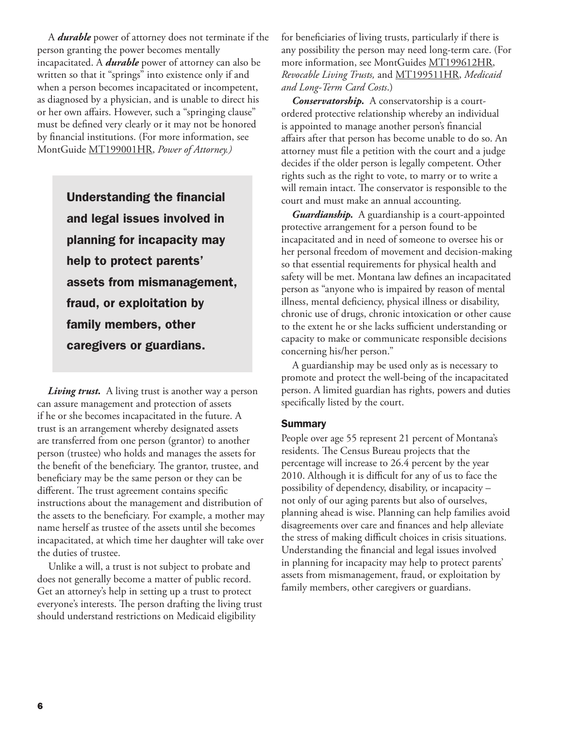A *durable* power of attorney does not terminate if the person granting the power becomes mentally incapacitated. A *durable* power of attorney can also be written so that it "springs" into existence only if and when a person becomes incapacitated or incompetent, as diagnosed by a physician, and is unable to direct his or her own affairs. However, such a "springing clause" must be defined very clearly or it may not be honored by financial institutions. (For more information, see MontGuide [MT199001HR,](http://msuextension.org/publications/FamilyFinancialManagement/MT199001HR.pdf) *Power of Attorney.)*

> Understanding the financial and legal issues involved in planning for incapacity may help to protect parents' assets from mismanagement, fraud, or exploitation by family members, other caregivers or guardians.

*Living trust.* A living trust is another way a person can assure management and protection of assets if he or she becomes incapacitated in the future. A trust is an arrangement whereby designated assets are transferred from one person (grantor) to another person (trustee) who holds and manages the assets for the benefit of the beneficiary. The grantor, trustee, and beneficiary may be the same person or they can be different. The trust agreement contains specific instructions about the management and distribution of the assets to the beneficiary. For example, a mother may name herself as trustee of the assets until she becomes incapacitated, at which time her daughter will take over the duties of trustee.

Unlike a will, a trust is not subject to probate and does not generally become a matter of public record. Get an attorney's help in setting up a trust to protect everyone's interests. The person drafting the living trust should understand restrictions on Medicaid eligibility

for beneficiaries of living trusts, particularly if there is any possibility the person may need long-term care. (For more information, see MontGuides [MT199612HR,](http://msuextension.org/publications/FamilyFinancialManagement/MT199612HR.pdf) *Revocable Living Trusts,* and [MT199511HR](http://msuextension.org/publications/FamilyFinancialManagement/MT199511HR.pdf), *Medicaid and Long-Term Card Costs*.)

*Conservatorship.* A conservatorship is a courtordered protective relationship whereby an individual is appointed to manage another person's financial affairs after that person has become unable to do so. An attorney must file a petition with the court and a judge decides if the older person is legally competent. Other rights such as the right to vote, to marry or to write a will remain intact. The conservator is responsible to the court and must make an annual accounting.

*Guardianship.* A guardianship is a court-appointed protective arrangement for a person found to be incapacitated and in need of someone to oversee his or her personal freedom of movement and decision-making so that essential requirements for physical health and safety will be met. Montana law defines an incapacitated person as "anyone who is impaired by reason of mental illness, mental deficiency, physical illness or disability, chronic use of drugs, chronic intoxication or other cause to the extent he or she lacks sufficient understanding or capacity to make or communicate responsible decisions concerning his/her person."

A guardianship may be used only as is necessary to promote and protect the well-being of the incapacitated person. A limited guardian has rights, powers and duties specifically listed by the court.

#### **Summary**

People over age 55 represent 21 percent of Montana's residents. The Census Bureau projects that the percentage will increase to 26.4 percent by the year 2010. Although it is difficult for any of us to face the possibility of dependency, disability, or incapacity – not only of our aging parents but also of ourselves, planning ahead is wise. Planning can help families avoid disagreements over care and finances and help alleviate the stress of making difficult choices in crisis situations. Understanding the financial and legal issues involved in planning for incapacity may help to protect parents' assets from mismanagement, fraud, or exploitation by family members, other caregivers or guardians.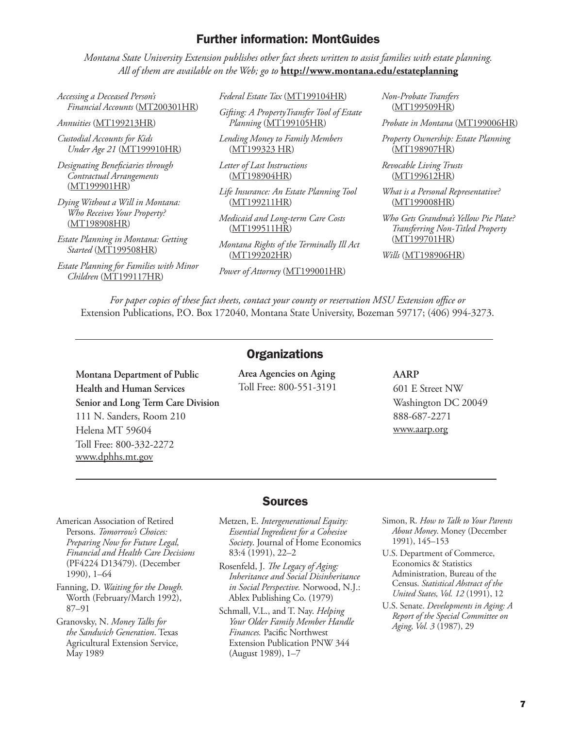### Further information: MontGuides

*Montana State University Extension publishes other fact sheets written to assist families with estate planning. All of them are available on the Web; go to* **http://www.montana.edu/estateplanning**

*Accessing a Deceased Person's Financial Accounts* ([MT200301HR\)](http://msuextension.org/publications/FamilyFinancialManagement/MT200301HR.pdf)

*Annuities* [\(MT199213HR](http://msuextension.org/publications/FamilyFinancialManagement/MT199213HR.pdf))

*Custodial Accounts for Kids Under Age 21* [\(MT199910HR](http://msuextension.org/publications/FamilyFinancialManagement/MT199910HR.pdf))

*Designating Beneficiaries through Contractual Arrangements* [\(MT199901HR\)](http://msuextension.org/publications/FamilyFinancialManagement/MT199901HR.pdf)

*Dying Without a Will in Montana: Who Receives Your Property?* [\(MT198908HR\)](http://msuextension.org/publications/FamilyFinancialManagement/MT198908HR.pdf)

*Estate Planning in Montana: Getting Started* ([MT199508HR\)](http://msuextension.org/publications/FamilyFinancialManagement/MT199508HR.pdf)

*Estate Planning for Families with Minor Children* ([MT199117HR\)](http://msuextension.org/publications/FamilyFinancialManagement/MT199117HR.pdf)

> **Montana Department of Public Health and Human Services**

111 N. Sanders, Room 210

Toll Free: 800-332-2272 [www.dphhs.mt.gov](http://www.dphhs.mt.gov/)

Helena MT 59604

**Senior and Long Term Care Division**

*Federal Estate Tax* [\(MT199104HR](http://msuextension.org/publications/FamilyFinancialManagement/MT199104HR.pdf))

*Gifting: A PropertyTransfer Tool of Estate Planning* ([MT199105HR\)](http://msuextension.org/publications/FamilyFinancialManagement/MT199105HR.pdf)

*Lending Money to Family Members* [\(MT199323 HR\)](http://msuextension.org/publications/FamilyFinancialManagement/MT199323HR.pdf)

*Letter of Last Instructions* [\(MT198904HR](http://msuextension.org/publications/FamilyFinancialManagement/MT198904HR.pdf))

*Life Insurance: An Estate Planning Tool* [\(MT199211HR](http://msuextension.org/publications/FamilyFinancialManagement/MT199211HR.pdf))

*Medicaid and Long-term Care Costs* [\(MT199511HR](http://msuextension.org/publications/FamilyFinancialManagement/MT199511HR.pdf))

*Montana Rights of the Terminally Ill Act* [\(MT199202HR](http://msuextension.org/publications/FamilyFinancialManagement/MT199202HR.pdf))

*Power of Attorney* ([MT199001HR\)](http://msuextension.org/publications/FamilyFinancialManagement/MT199001HR.pdf)

*Non-Probate Transfers* [\(MT199509HR](http://msuextension.org/publications/FamilyFinancialManagement/MT199509HR.pdf))

*Probate in Montana* [\(MT199006HR](http://msuextension.org/publications/FamilyFinancialManagement/MT199006HR.pdf))

*Property Ownership: Estate Planning*  [\(MT198907HR](http://msuextension.org/publications/FamilyFinancialManagement/MT198907HR.pdf))

*Revocable Living Trusts* [\(MT199612HR](http://msuextension.org/publications/FamilyFinancialManagement/MT199612HR.pdf))

*What is a Personal Representative?* [\(MT199008HR](http://msuextension.org/publications/FamilyFinancialManagement/MT199008HR.pdf))

*Who Gets Grandma's Yellow Pie Plate? Transferring Non-Titled Property*  [\(MT199701HR](http://msuextension.org/publications/FamilyFinancialManagement/MT199701HR.pdf))

*Wills* [\(MT198906HR\)](http://msuextension.org/publications/FamilyFinancialManagement/MT198906HR.pdf)

*For paper copies of these fact sheets, contact your county or reservation MSU Extension office or*  Extension Publications, P.O. Box 172040, Montana State University, Bozeman 59717; (406) 994-3273.

#### **Organizations**

**Area Agencies on Aging** Toll Free: 800-551-3191

#### **AARP**

601 E Street NW Washington DC 20049 888-687-2271 www.aarp.org

American Association of Retired Persons. *Tomorrow's Choices: Preparing Now for Future Legal, Financial and Health Care Decisions*  (PF4224 D13479). (December 1990), 1–64

Fanning, D. *Waiting for the Dough.* Worth (February/March 1992), 87–91

Granovsky, N. *Money Talks for the Sandwich Generation*. Texas Agricultural Extension Service, May 1989

#### Sources

- Metzen, E. *Intergenerational Equity: Essential Ingredient for a Cohesive Society*. Journal of Home Economics 83:4 (1991), 22–2
- Rosenfeld, J. *The Legacy of Aging: Inheritance and Social Disinheritance in Social Perspective.* Norwood, N.J.: Ablex Publishing Co. (1979)

Schmall, V.L., and T. Nay. *Helping Your Older Family Member Handle Finances.* Pacific Northwest Extension Publication PNW 344 (August 1989), 1–7

- Simon, R. *How to Talk to Your Parents About Money*. Money (December 1991), 145–153
- U.S. Department of Commerce, Economics & Statistics Administration, Bureau of the Census. *Statistical Abstract of the United States, Vol. 12* (1991), 12
- U.S. Senate. *Developments in Aging: A Report of the Special Committee on Aging, Vol. 3* (1987), 29